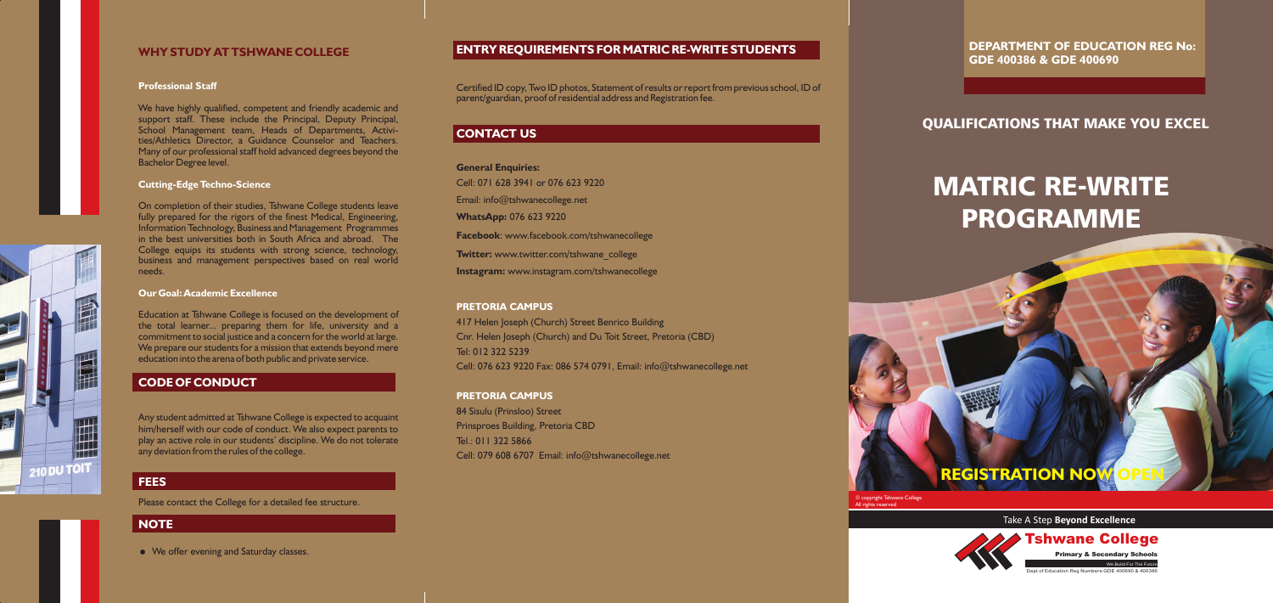# QUALIFICATIONS THAT MAKE YOU EXCEL

Take A Step **Beyond Excellence**



# PROGRAMME MATRIC RE-WRITE

**REGISTRATION NO** 

We Build For The Future Dept of Education Reg Numbers:GDE 400690 & 400



Tshwane College

**Primary & Secondary School** 

**DEPARTMENT OF EDUCATION REG No: GDE 400386 & GDE 400690**

### **ENTRY REQUIREMENTS FOR MATRIC RE-WRITE STUDENTS**

# **CONTACT US**

#### **PRETORIA CAMPUS**

#### **PRETORIA CAMPUS**

Certified ID copy, Two ID photos, Statement of results or report from previous school, ID of parent/guardian, proof of residential address and Registration fee.

**General Enquiries:** Cell: 071 628 3941 or 076 623 9220 Email: info@tshwanecollege.net **WhatsApp:** 076 623 9220 **Facebook**: www.facebook.com/tshwanecollege **Twitter:** www.twitter.com/tshwane\_college **Instagram:** www.instagram.com/tshwanecollege

417 Helen Joseph (Church) Street Benrico Building Cnr. Helen Joseph (Church) and Du Toit Street, Pretoria (CBD) Tel: 012 322 5239 Cell: 076 623 9220 Fax: 086 574 0791, Email: info@tshwanecollege.net

84 Sisulu (Prinsloo) Street Prinsproes Building, Pretoria CBD Tel.: 011 322 5866 Cell: 079 608 6707 Email: info@tshwanecollege.net

#### **WHY STUDY AT TSHWANE COLLEGE**

#### **Professional Staff**

#### **Cutting-Edge Techno-Science**

#### **Our Goal: Academic Excellence**

# **CODE OF CONDUCT**

### **FEES**

TAT DI H

210 DU TOIT

### **NOTE**

• We offer evening and Saturday classes.

We have highly qualified, competent and friendly academic and support staff. These include the Principal, Deputy Principal, School Management team, Heads of Departments, Activities/Athletics Director, a Guidance Counselor and Teachers. Many of our professional staff hold advanced degrees beyond the Bachelor Degree level.

On completion of their studies, Tshwane College students leave fully prepared for the rigors of the finest Medical, Engineering, Information Technology, Business and Management Programmes in the best universities both in South Africa and abroad. The College equips its students with strong science, technology, business and management perspectives based on real world needs.

Education at Tshwane College is focused on the development of the total learner... preparing them for life, university and a commitment to social justice and a concern for the world at large. We prepare our students for a mission that extends beyond mere education into the arena of both public and private service.

Any student admitted at Tshwane College is expected to acquaint him/herself with our code of conduct. We also expect parents to play an active role in our students' discipline. We do not tolerate any deviation from the rules of the college.

Please contact the College for a detailed fee structure.